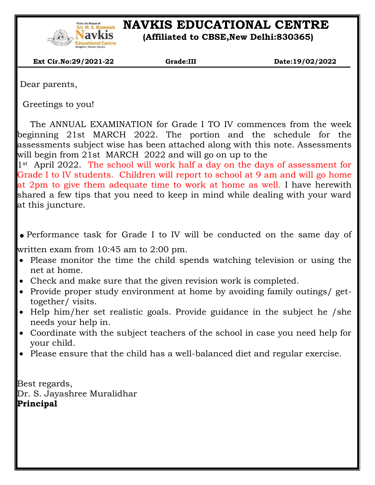

# **START SERIONAL READERS IN ARTIONAL READERS IN A SERIOR READER IN A CHARGE MANUFACTURE NATURE NATURE AND DELAIT SERIOR SERIOR SERIOR CONTRE**

 **(Affiliated to CBSE,New Delhi:830365)**

 **Ext Cir.No:29/2021-22 Grade:III Date:19/02/2022**

Dear parents,

 $\overline{\phantom{a}}$ 

Greetings to you!

The ANNUAL EXAMINATION for Grade I TO IV commences from the week beginning 21st MARCH 2022. The portion and the schedule for the assessments subject wise has been attached along with this note. Assessments will begin from 21st MARCH 2022 and will go on up to the

1st April 2022. The school will work half a day on the days of assessment for Grade I to IV students. Children will report to school at 9 am and will go home at 2pm to give them adequate time to work at home as well. I have herewith shared a few tips that you need to keep in mind while dealing with your ward at this juncture.

.Performance task for Grade I to IV will be conducted on the same day of

written exam from 10:45 am to 2:00 pm.

- Please monitor the time the child spends watching television or using the net at home.
- Check and make sure that the given revision work is completed.
- Provide proper study environment at home by avoiding family outings/ gettogether/ visits.
- Help him/her set realistic goals. Provide guidance in the subject he /she needs your help in.
- Coordinate with the subject teachers of the school in case you need help for your child.
- Please ensure that the child has a well-balanced diet and regular exercise.

Best regards, Dr. S. Jayashree Muralidhar **Principal**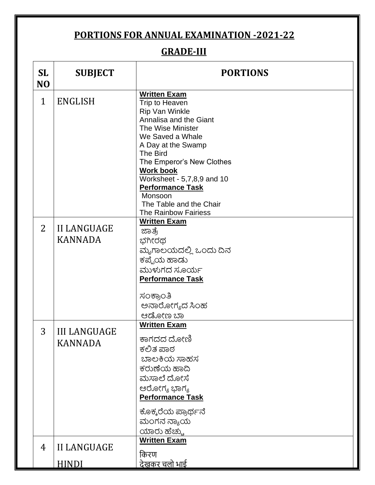#### **PORTIONS FOR ANNUAL EXAMINATION -2021-22**

## **GRADE-III**

| <b>SL</b><br>N <sub>O</sub> | <b>SUBJECT</b>                        | <b>PORTIONS</b>                                                                                                                                                                                                                                                                                                                             |
|-----------------------------|---------------------------------------|---------------------------------------------------------------------------------------------------------------------------------------------------------------------------------------------------------------------------------------------------------------------------------------------------------------------------------------------|
| 1                           | <b>ENGLISH</b>                        | <b>Written Exam</b><br>Trip to Heaven<br>Rip Van Winkle<br>Annalisa and the Giant<br>The Wise Minister<br>We Saved a Whale<br>A Day at the Swamp<br>The Bird<br>The Emperor's New Clothes<br><b>Work book</b><br>Worksheet - 5,7,8,9 and 10<br><b>Performance Task</b><br>Monsoon<br>The Table and the Chair<br><b>The Rainbow Fairiess</b> |
| 2                           | <b>II LANGUAGE</b><br><b>KANNADA</b>  | <b>Written Exam</b><br>ಜಾತ್ರೆ<br>ಭಗೀರಥ<br>ಮೃಗಾಲಯದಲ್ಲಿ ಒಂದು ದಿನ<br>ಕಪ್ಪೆಯ ಹಾಡು<br>ಮುಳುಗದ ಸೂರ್ಯ<br><b>Performance Task</b><br>ಸಂಕ್ರಾಂತಿ<br>ಅನಾರೋಗ್ಯದ ಸಿಂಹ<br>ಆಡೋಣ ಬಾ                                                                                                                                                                          |
| 3                           | <b>III LANGUAGE</b><br><b>KANNADA</b> | <b>Written Exam</b><br>ಕಾಗದದ ದೋಣಿ<br>ಕಲಿತ ಪಾಠ<br>ಬಾಲಕಿಯ ಸಾಹಸ<br>ಕರುಣೆಯ ಹಾದಿ<br>ಮಸಾಲೆ ದೋಸೆ<br>ಆರೋಗ್ಯ ಭಾಗ್ಯ<br><b>Performance Task</b><br>ಕೊಕ್ಕರೆಯ ಪ್ರಾರ್ಥನೆ<br>ಮಂಗನ ನ್ಯಾಯ<br>ಯಾರು ಹೆಚ್ಚು                                                                                                                                                     |
| 4                           | <b>II LANGUAGE</b><br><b>HINDI</b>    | <b>Written Exam</b><br>किरण<br><u>देखकर चलो भाई</u>                                                                                                                                                                                                                                                                                         |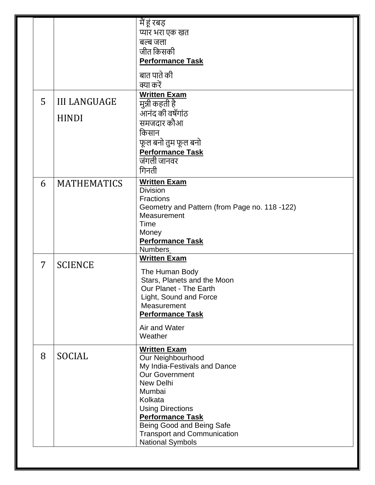|   |                     | में हूं रबड़                                                      |
|---|---------------------|-------------------------------------------------------------------|
|   |                     | प्यार भरा एक खत                                                   |
|   |                     | बल्ब जला                                                          |
|   |                     | जीत किसकी                                                         |
|   |                     | <b>Performance Task</b>                                           |
|   |                     | बात पाते की                                                       |
|   |                     | क्या करें                                                         |
| 5 | <b>III LANGUAGE</b> | <b>Written Exam</b><br>मुन्नी कहती है <sup>।</sup>                |
|   |                     | आनंद की वर्षेगांठ                                                 |
|   | <b>HINDI</b>        | समजदार कौआ                                                        |
|   |                     | किसान                                                             |
|   |                     | फूल बनो तुम फूल बनो                                               |
|   |                     | <b>Performance Task</b>                                           |
|   |                     | जंगली जानवर                                                       |
|   |                     | गिनती                                                             |
| 6 | <b>MATHEMATICS</b>  | <b>Written Exam</b>                                               |
|   |                     | <b>Division</b>                                                   |
|   |                     | <b>Fractions</b><br>Geometry and Pattern (from Page no. 118 -122) |
|   |                     | Measurement                                                       |
|   |                     | Time                                                              |
|   |                     | Money                                                             |
|   |                     | <b>Performance Task</b>                                           |
|   |                     | <b>Numbers</b><br><b>Written Exam</b>                             |
| 7 | <b>SCIENCE</b>      |                                                                   |
|   |                     | The Human Body<br>Stars, Planets and the Moon                     |
|   |                     | Our Planet - The Earth                                            |
|   |                     | Light, Sound and Force                                            |
|   |                     | Measurement                                                       |
|   |                     | <b>Performance Task</b>                                           |
|   |                     | Air and Water                                                     |
|   |                     | Weather                                                           |
|   |                     | <b>Written Exam</b>                                               |
| 8 | SOCIAL              | Our Neighbourhood                                                 |
|   |                     | My India-Festivals and Dance                                      |
|   |                     | <b>Our Government</b><br>New Delhi                                |
|   |                     | Mumbai                                                            |
|   |                     | Kolkata                                                           |
|   |                     | <b>Using Directions</b>                                           |
|   |                     | <b>Performance Task</b>                                           |
|   |                     | Being Good and Being Safe<br><b>Transport and Communication</b>   |
|   |                     | <b>National Symbols</b>                                           |
|   |                     |                                                                   |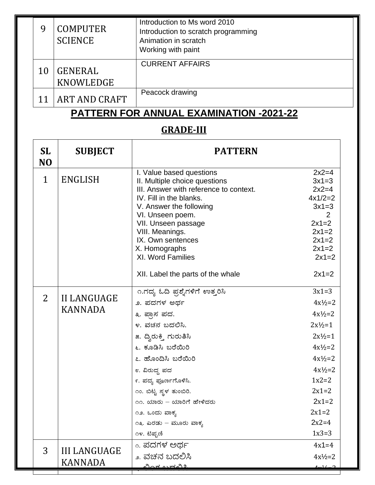|    | <b>COMPUTER</b><br><b>SCIENCE</b>                | Introduction to Ms word 2010<br>Introduction to scratch programming<br>Animation in scratch<br>Working with paint |  |
|----|--------------------------------------------------|-------------------------------------------------------------------------------------------------------------------|--|
| 10 | <b>GENERAL</b><br>KNOWLEDGE                      | <b>CURRENT AFFAIRS</b>                                                                                            |  |
|    | ART AND CRAFT                                    | Peacock drawing                                                                                                   |  |
|    | RATTERN FAR ANNUAL<br>VAMILIATIALI<br>nnns<br>ΩΩ |                                                                                                                   |  |

#### **PATTERN FOR ANNUAL EXAMINATION -2021-22**

## **GRADE-III**

т

| <b>SL</b><br>N <sub>O</sub> | <b>SUBJECT</b>                        | <b>PATTERN</b>                                                                                                                                                                                                                                                                                                                 |                                                                                                                                                                                           |
|-----------------------------|---------------------------------------|--------------------------------------------------------------------------------------------------------------------------------------------------------------------------------------------------------------------------------------------------------------------------------------------------------------------------------|-------------------------------------------------------------------------------------------------------------------------------------------------------------------------------------------|
| $\mathbf 1$                 | <b>ENGLISH</b>                        | I. Value based questions<br>II. Multiple choice questions<br>III. Answer with reference to context.<br>IV. Fill in the blanks.<br>V. Answer the following<br>VI. Unseen poem.<br>VII. Unseen passage<br>VIII. Meanings.<br>IX. Own sentences<br>X. Homographs<br><b>XI. Word Families</b><br>XII. Label the parts of the whale | $2x2=4$<br>$3x1=3$<br>$2x2=4$<br>$4x1/2=2$<br>$3x1=3$<br>$2x1=2$<br>$2x1=2$<br>$2x1=2$<br>$2x1=2$<br>$2x1=2$<br>$2x1=2$                                                                   |
| $\overline{2}$              | <b>II LANGUAGE</b><br><b>KANNADA</b>  | ೧.ಗದ್ಯ ಓದಿ ಪ್ರಶ್ನೆಗಳಿಗೆ ಉತ್ತರಿಸಿ<br>೨. ಪದಗಳ ಅರ್ಥ<br>೩. ಪ್ರಾಸ ಪದ.<br>೪. ವಚನ ಬದಲಿಸಿ.<br>೫. ದ್ವಿರುಕ್ತಿ ಗುರುತಿಸಿ<br>೬. ಕೂಡಿಸಿ ಬರೆಯಿರಿ<br>೭. ಹೊಂದಿಸಿ ಬರೆಯಿರಿ<br>೮. ವಿರುದ್ಧ ಪದ<br>೯. ಪದ್ಯ ಪೂರ್ಣಗೊಳಿಸಿ.<br>೧೦. ಬಿಟ್ಟ ಸ್ಥಳ ತುಂಬಿರಿ.<br>೧೧. ಯಾರು – ಯಾರಿಗೆ ಹೇಳಿದರು<br>೧೨. ಒಂದು ವಾಕ್ಯ<br>೧೩. ಎರಡು – ಮೂರು ವಾಕ್ಯ<br>೧೪. ಟಿಪ್ಪಣಿ             | $3x1=3$<br>$4x^{1/2}=2$<br>$4x^{1/2}=2$<br>$2x^{1/2}=1$<br>$2x^{1/2}=1$<br>$4x^{1/2}=2$<br>$4x^{1/2}=2$<br>$4x^{1/2}=2$<br>$1x2=2$<br>$2x1=2$<br>$2x1=2$<br>$2x1=2$<br>$2x2=4$<br>$1x3=3$ |
| 3                           | <b>III LANGUAGE</b><br><b>KANNADA</b> | <sub>್.</sub> ಪದಗಳ ಅರ್ಥ<br>೨. ವಚನ ಬದಲಿಸಿ<br>ವಿಂಕ ಬಹವಿ೨                                                                                                                                                                                                                                                                         | $4x1=4$<br>$4x\frac{1}{2}=2$<br>$4-1/$                                                                                                                                                    |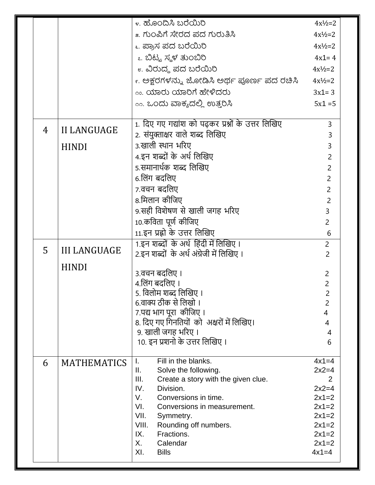|   |                     | ೪. ಹೊಂದಿಸಿ ಬರೆಯಿರಿ                                 | $4x\frac{1}{2}=2$   |
|---|---------------------|----------------------------------------------------|---------------------|
|   |                     | ೫. ಗುಂಪಿಗೆ ಸೇರದ ಪದ ಗುರುತಿಸಿ                        | $4x^{1}/2=2$        |
|   |                     | ೬. ಪ್ರಾಸ ಪದ ಬರೆಯಿರಿ                                | $4x^{1}/_{2}=2$     |
|   |                     | ೭. ಬಿಟ್ಟ ಸ್ಥಳ ತುಂಬಿರಿ                              | $4x1 = 4$           |
|   |                     | <sub>೮.</sub> ವಿರುದ್ಧ ಪದ ಬರೆಯಿರಿ                   | $4x^{1}/_{2}=2$     |
|   |                     | ೯. ಅಕ್ಷರಗಳನ್ನು ಜೋಡಿಸಿ ಅರ್ಥ ಪೂರ್ಣ ಪದ ರಚಿಸಿ          | $4x^{1}/_{2}=2$     |
|   |                     | <u>್ಯ. ಯಾರು ಯಾರಿಗೆ ಹೇಳಿದರು</u>                     | $3x1 = 3$           |
|   |                     | <u>00. ಒಂದು ವಾಕ್ಯದಲ್ಲಿ ಉತ್ತರಿಸಿ</u>                | $5x1 = 5$           |
|   |                     |                                                    |                     |
|   |                     | 1. दिए गए गद्यांश को पढ़कर प्रश्नों के उत्तर लिखिए | $\overline{3}$      |
| 4 | <b>II LANGUAGE</b>  | 2. संयुक्ताक्षर वाले शब्द लिखिए                    | 3                   |
|   | <b>HINDI</b>        | ३.खाली स्थान भरिए                                  | 3                   |
|   |                     | 4.इन शब्दों के अर्थ लिखिए                          | $\overline{2}$      |
|   |                     | 5.समानार्थक शब्द लिखिए                             | $\overline{2}$      |
|   |                     | 6.लिंग बदलिए                                       | $\overline{2}$      |
|   |                     | 7.वचन बदलिए                                        | $\overline{2}$      |
|   |                     | 8.मिलान कीजिए                                      | $\overline{2}$      |
|   |                     | 9.सही विशेषण से खाली जगह भरिए                      | 3                   |
|   |                     | 10.कविता पूर्ण कीजिए                               | $\overline{2}$      |
|   |                     | 11.इन प्रह्रो के उत्तर लिखिए                       | 6                   |
| 5 | <b>III LANGUAGE</b> | 1.इन शब्दों के अर्थ हिंदी में लिखिए ।              | $\overline{2}$      |
|   |                     | 2.इन शब्दों  के अर्थ अंग्रेजी में लिखिए ।          | $\overline{2}$      |
|   | <b>HINDI</b>        | ३.वचन बदलिए ।                                      |                     |
|   |                     | 4.लिंग बदलिए ।                                     | $\overline{c}$<br>2 |
|   |                     | 5. विलोम शब्द लिखिए ।                              | 2                   |
|   |                     | 6.वाक्य ठीक से लिखो ।                              | $\overline{2}$      |
|   |                     | 7.पद्य भाग पूरा  कीजिए ।                           | 4                   |
|   |                     | 8. दिए गए गिनतियों  को  अक्षरों में लिखिए।         | 4                   |
|   |                     | 9. खाली जगह भरिए।                                  | 4                   |
|   |                     | 10. इन प्रशनो के उत्तर लिखिए ।                     | 6                   |
|   |                     | Fill in the blanks.<br>L.                          | $4x1=4$             |
| 6 | <b>MATHEMATICS</b>  | Solve the following.<br>Ш.                         | $2x2=4$             |
|   |                     | III.<br>Create a story with the given clue.        | 2                   |
|   |                     | IV.<br>Division.                                   | $2x2=4$             |
|   |                     | V.<br>Conversions in time.                         | $2x1=2$             |
|   |                     | VI.<br>Conversions in measurement.<br>VII.         | $2x1=2$<br>$2x1=2$  |
|   |                     | Symmetry.<br>VIII.<br>Rounding off numbers.        | $2x1=2$             |
|   |                     | Fractions.<br>IX.                                  |                     |
|   |                     | X.<br>Calendar                                     |                     |
|   |                     | XI.<br><b>Bills</b>                                | $4x1=4$             |
|   |                     |                                                    |                     |